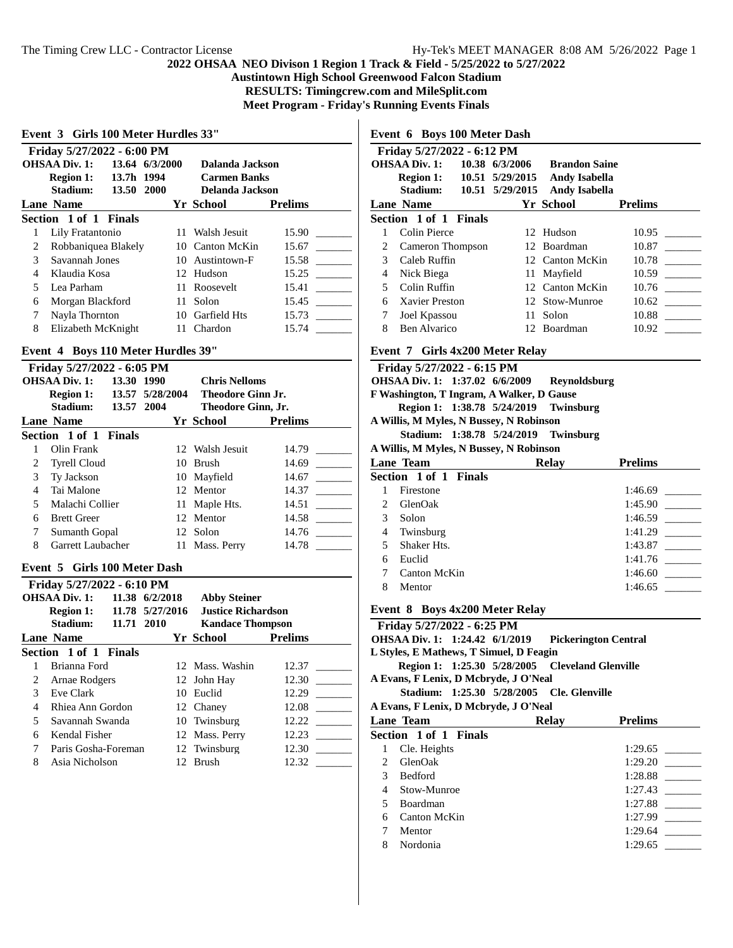$\mathbf l$ 

**Austintown High School Greenwood Falcon Stadium**

**RESULTS: Timingcrew.com and MileSplit.com**

**Meet Program - Friday's Running Events Finals**

| Event 3 Girls 100 Meter Hurdles 33"           |                                                           |  |     |                     |                |  |  |  |  |
|-----------------------------------------------|-----------------------------------------------------------|--|-----|---------------------|----------------|--|--|--|--|
|                                               | Friday 5/27/2022 - 6:00 PM                                |  |     |                     |                |  |  |  |  |
|                                               | <b>OHSAA Div. 1:</b><br>13.64 6/3/2000<br>Dalanda Jackson |  |     |                     |                |  |  |  |  |
|                                               | Region 1: 13.7h 1994                                      |  |     | <b>Carmen Banks</b> |                |  |  |  |  |
| Stadium: 13.50 2000<br><b>Delanda Jackson</b> |                                                           |  |     |                     |                |  |  |  |  |
|                                               | <b>Lane Name</b>                                          |  |     | Yr School           | <b>Prelims</b> |  |  |  |  |
|                                               | Section 1 of 1 Finals                                     |  |     |                     |                |  |  |  |  |
|                                               | Lily Fratantonio                                          |  |     | 11 Walsh Jesuit     | 15.90          |  |  |  |  |
| 2                                             | Robbaniquea Blakely                                       |  |     | 10 Canton McKin     | 15.67          |  |  |  |  |
| 3                                             | Savannah Jones                                            |  |     | 10 Austintown-F     | 15.58          |  |  |  |  |
| 4                                             | Klaudia Kosa                                              |  |     | 12 Hudson           | 15.25          |  |  |  |  |
| 5                                             | Lea Parham                                                |  |     | 11 Roosevelt        | 15.41          |  |  |  |  |
| 6                                             | Morgan Blackford                                          |  | 11. | Solon               | 15.45          |  |  |  |  |
| 7                                             | Nayla Thornton                                            |  | 10. | Garfield Hts        | 15.73          |  |  |  |  |
| 8                                             | Elizabeth McKnight                                        |  | 11. | Chardon             | 15.74          |  |  |  |  |

### **Event 4 Boys 110 Meter Hurdles 39"**

| Friday 5/27/2022 - 6:05 PM |                                    |           |                          |                |  |  |
|----------------------------|------------------------------------|-----------|--------------------------|----------------|--|--|
|                            | <b>OHSAA Div. 1:</b><br>13.30 1990 |           | <b>Chris Nelloms</b>     |                |  |  |
|                            | Region 1: 13.57 5/28/2004          |           | <b>Theodore Ginn Jr.</b> |                |  |  |
|                            | Stadium:<br>13.57 2004             |           | Theodore Ginn, Jr.       |                |  |  |
|                            | <b>Lane Name</b>                   |           | Yr School                | <b>Prelims</b> |  |  |
|                            | Section 1 of 1 Finals              |           |                          |                |  |  |
|                            | Olin Frank                         |           | 12 Walsh Jesuit          | 14.79          |  |  |
| 2                          | <b>Tyrell Cloud</b>                | $10^{-7}$ | Brush                    | 14.69          |  |  |
| 3                          | <b>Ty Jackson</b>                  |           | 10 Mayfield              | 14.67          |  |  |
| 4                          | Tai Malone                         |           | 12 Mentor                | 14.37          |  |  |
| 5                          | Malachi Collier                    | 11.       | Maple Hts.               | 14.51          |  |  |
| 6                          | <b>Brett Greer</b>                 |           | 12 Mentor                | 14.58          |  |  |
| 7                          | Sumanth Gopal                      |           | 12 Solon                 | 14.76          |  |  |
| 8                          | Garrett Laubacher                  | 11.       | Mass. Perry              | 14.78          |  |  |

#### **Event 5 Girls 100 Meter Dash**

| Friday 5/27/2022 - 6:10 PM |                       |                 |                           |                |  |  |  |
|----------------------------|-----------------------|-----------------|---------------------------|----------------|--|--|--|
|                            | <b>OHSAA Div. 1:</b>  | 11.38 6/2/2018  | <b>Abby Steiner</b>       |                |  |  |  |
|                            | <b>Region 1:</b>      | 11.78 5/27/2016 | <b>Justice Richardson</b> |                |  |  |  |
|                            | Stadium:              | 11.71 2010      | <b>Kandace Thompson</b>   |                |  |  |  |
|                            | Lane Name             |                 | Yr School                 | <b>Prelims</b> |  |  |  |
|                            | Section 1 of 1 Finals |                 |                           |                |  |  |  |
|                            | Brianna Ford          |                 | 12 Mass. Washin           | 12.37          |  |  |  |
| 2                          | Arnae Rodgers         |                 | 12 John Hay               | 12.30          |  |  |  |
| 3                          | Eve Clark             |                 | 10 Euclid                 | 12.29          |  |  |  |
| 4                          | Rhiea Ann Gordon      |                 | 12 Chaney                 | 12.08          |  |  |  |
| 5                          | Savannah Swanda       |                 | 10 Twinsburg              | 12.22          |  |  |  |
| 6                          | Kendal Fisher         |                 | 12 Mass. Perry            | 12.23          |  |  |  |
|                            | Paris Gosha-Foreman   |                 | 12 Twinsburg              | 12.30          |  |  |  |
| 8                          | Asia Nicholson        | 12              | <b>Brush</b>              | 12.32          |  |  |  |

# **Event 6 Boys 100 Meter Dash**

|   | Friday 5/27/2022 - 6:12 PM |                 |                      |                |  |  |  |  |
|---|----------------------------|-----------------|----------------------|----------------|--|--|--|--|
|   | <b>OHSAA Div. 1:</b>       | 10.38 6/3/2006  | <b>Brandon Saine</b> |                |  |  |  |  |
|   | Region 1: 10.51 5/29/2015  |                 | <b>Andy Isabella</b> |                |  |  |  |  |
|   | <b>Stadium:</b>            | 10.51 5/29/2015 | <b>Andy Isabella</b> |                |  |  |  |  |
|   | <b>Lane Name</b>           |                 | Yr School            | <b>Prelims</b> |  |  |  |  |
|   | Section 1 of 1 Finals      |                 |                      |                |  |  |  |  |
|   | Colin Pierce               |                 | 12 Hudson            | 10.95          |  |  |  |  |
| 2 | Cameron Thompson           |                 | 12 Boardman          | 10.87          |  |  |  |  |
| 3 | Caleb Ruffin               |                 | 12 Canton McKin      | 10.78          |  |  |  |  |
| 4 | Nick Biega                 |                 | 11 Mayfield          | 10.59          |  |  |  |  |
| 5 | Colin Ruffin               |                 | 12 Canton McKin      | 10.76          |  |  |  |  |
| 6 | Xavier Preston             |                 | 12 Stow-Munroe       | 10.62          |  |  |  |  |
| 7 | Joel Kpassou               | 11              | Solon                | 10.88          |  |  |  |  |
| 8 | Ben Alvarico               | 12.             | Boardman             | 10.92          |  |  |  |  |
|   |                            |                 |                      |                |  |  |  |  |

#### **Event 7 Girls 4x200 Meter Relay**

|                | <b>Event</b> / Girls 4x200 Meter Relay         |  |                                         |                                      |                |  |  |
|----------------|------------------------------------------------|--|-----------------------------------------|--------------------------------------|----------------|--|--|
|                | Friday 5/27/2022 - 6:15 PM                     |  |                                         |                                      |                |  |  |
|                | OHSAA Div. 1: 1:37.02 6/6/2009<br>Reynoldsburg |  |                                         |                                      |                |  |  |
|                | F Washington, T Ingram, A Walker, D Gause      |  |                                         |                                      |                |  |  |
|                |                                                |  | Region 1: 1:38.78 5/24/2019 Twinsburg   |                                      |                |  |  |
|                |                                                |  | A Willis, M Myles, N Bussey, N Robinson |                                      |                |  |  |
|                |                                                |  |                                         | Stadium: 1:38.78 5/24/2019 Twinsburg |                |  |  |
|                |                                                |  | A Willis, M Myles, N Bussey, N Robinson |                                      |                |  |  |
|                | Lane Team                                      |  |                                         | Relay                                | <b>Prelims</b> |  |  |
|                | Section 1 of 1 Finals                          |  |                                         |                                      |                |  |  |
|                | Firestone                                      |  |                                         |                                      | 1:46.69        |  |  |
| $\mathfrak{D}$ | <b>GlenOak</b>                                 |  |                                         |                                      | 1:45.90        |  |  |
| 3              | Solon                                          |  |                                         |                                      | 1:46.59        |  |  |
| 4              | Twinsburg                                      |  |                                         |                                      | 1:41.29        |  |  |
|                |                                                |  |                                         |                                      |                |  |  |

| 5 Shaker Hts.  | 1:43.87 |
|----------------|---------|
| 6 Euclid       | 1:41.76 |
| 7 Canton McKin | 1:46.60 |
| 8 Mentor       | 1:46.65 |
|                |         |

#### **Event 8 Boys 4x200 Meter Relay**

**Friday 5/27/2022 - 6:25 PM OHSAA Div. 1: 1:24.42 6/1/2019 Pickerington Central L Styles, E Mathews, T Simuel, D Feagin Region 1: 1:25.30 5/28/2005 Cleveland Glenville A Evans, F Lenix, D Mcbryde, J O'Neal Stadium: 1:25.30 5/28/2005 Cle. Glenville A Evans, F Lenix, D Mcbryde, J O'Neal Lane Team Relay Prelims Section 1 of 1 Finals** 1 Cle. Heights 1:29.65 \_\_\_\_\_\_\_\_\_ 2 GlenOak 1:29.20 \_\_\_\_\_\_\_\_\_ 3 Bedford 1:28.88 \_\_\_\_\_\_\_\_\_ 4 Stow-Munroe 1:27.43 \_\_\_\_\_\_\_\_\_ 5 Boardman 1:27.88 \_\_\_\_\_\_\_\_\_ 6 Canton McKin 1:27.99 \_\_\_\_\_\_\_\_\_

<sup>7</sup> Mentor 1:29.64 8 Nordonia 1:29.65 \_\_\_\_\_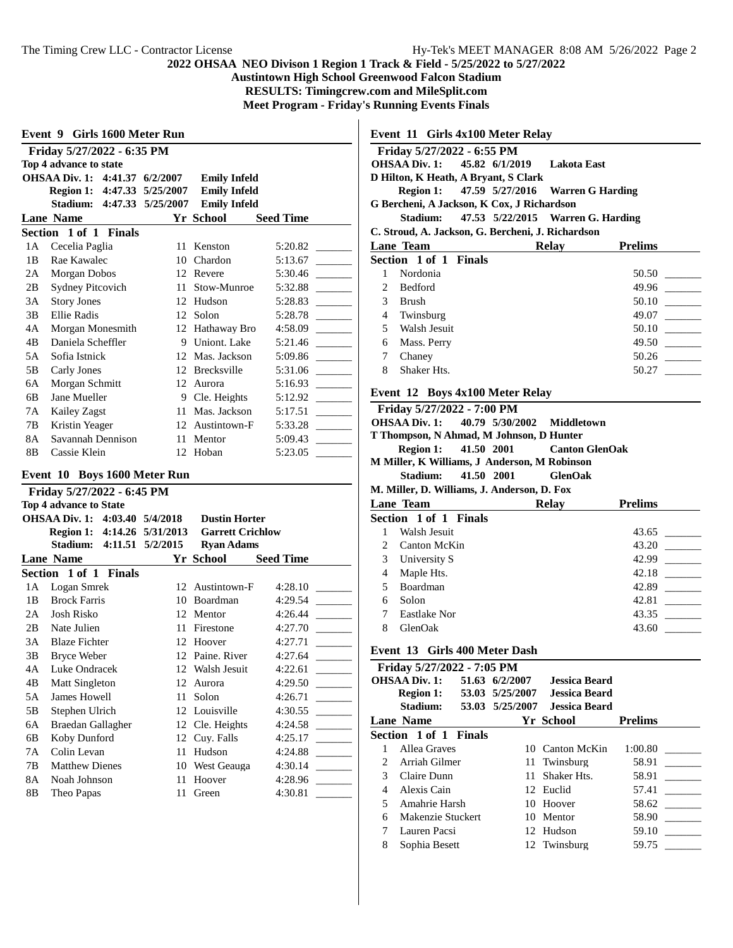**Austintown High School Greenwood Falcon Stadium**

**RESULTS: Timingcrew.com and MileSplit.com**

**Meet Program - Friday's Running Events Finals**

**Event 9 Girls 1600 Meter Run**

| Friday 5/27/2022 - 6:35 PM |                              |                   |                     |                  |  |  |  |
|----------------------------|------------------------------|-------------------|---------------------|------------------|--|--|--|
| Top 4 advance to state     |                              |                   |                     |                  |  |  |  |
|                            | <b>OHSAA Div. 1: 4:41.37</b> | 6/2/2007          | <b>Emily Infeld</b> |                  |  |  |  |
|                            | Region 1:                    | 4:47.33 5/25/2007 | <b>Emily Infeld</b> |                  |  |  |  |
|                            | Stadium:<br>4:47.33          | 5/25/2007         | <b>Emily Infeld</b> |                  |  |  |  |
|                            | <b>Lane Name</b>             |                   | Yr School           | <b>Seed Time</b> |  |  |  |
|                            | Section 1 of 1 Finals        |                   |                     |                  |  |  |  |
| 1А                         | Cecelia Paglia               | 11                | Kenston             | 5:20.82          |  |  |  |
| 1B                         | Rae Kawalec                  | 10                | Chardon             | 5:13.67          |  |  |  |
| 2A                         | Morgan Dobos                 | 12                | Revere              | 5:30.46          |  |  |  |
| 2B                         | <b>Sydney Pitcovich</b>      | 11                | Stow-Munroe         | 5:32.88          |  |  |  |
| 3A                         | <b>Story Jones</b>           | 12                | Hudson              | 5:28.83          |  |  |  |
| 3B                         | Ellie Radis                  | 12                | Solon               | 5:28.78          |  |  |  |
| 4Α                         | Morgan Monesmith             | 12                | Hathaway Bro        | 4:58.09          |  |  |  |
| 4B                         | Daniela Scheffler            | 9                 | Uniont. Lake        | 5:21.46          |  |  |  |
| 5A                         | Sofia Istnick                | 12                | Mas. Jackson        | 5:09.86          |  |  |  |
| 5B                         | Carly Jones                  | 12                | Brecksville         | 5:31.06          |  |  |  |
| 6A                         | Morgan Schmitt               | 12                | Aurora              | 5:16.93          |  |  |  |
| 6B                         | Jane Mueller                 | 9                 | Cle. Heights        | 5:12.92          |  |  |  |
| 7A                         | <b>Kailey Zagst</b>          | 11                | Mas. Jackson        | 5:17.51          |  |  |  |
| 7B                         | Kristin Yeager               | 12                | Austintown-F        | 5:33.28          |  |  |  |
| 8A                         | Savannah Dennison            | 11                | Mentor              | 5:09.43          |  |  |  |
| 8Β                         | Cassie Klein                 | 12                | Hoban               | 5:23.05          |  |  |  |

### **Event 10 Boys 1600 Meter Run**

|    | Friday 5/27/2022 - 6:45 PM     |                 |                         |                  |  |  |  |  |
|----|--------------------------------|-----------------|-------------------------|------------------|--|--|--|--|
|    | <b>Top 4 advance to State</b>  |                 |                         |                  |  |  |  |  |
|    | OHSAA Div. 1: 4:03.40 5/4/2018 |                 | <b>Dustin Horter</b>    |                  |  |  |  |  |
|    | Region 1: 4:14.26 5/31/2013    |                 | <b>Garrett Crichlow</b> |                  |  |  |  |  |
|    | Stadium:<br>4:11.51            | 5/2/2015        | <b>Ryan Adams</b>       |                  |  |  |  |  |
|    | <b>Lane Name</b>               |                 | Yr School               | <b>Seed Time</b> |  |  |  |  |
|    | Section 1 of 1 Finals          |                 |                         |                  |  |  |  |  |
| 1A | Logan Smrek                    | 12 <sub>1</sub> | Austintown-F            | 4:28.10          |  |  |  |  |
| 1B | <b>Brock Farris</b>            | 10              | <b>Boardman</b>         | 4:29.54          |  |  |  |  |
| 2A | Josh Risko                     | 12              | Mentor                  | 4:26.44          |  |  |  |  |
| 2B | Nate Julien                    | 11              | Firestone               | 4:27.70          |  |  |  |  |
| 3A | <b>Blaze Fichter</b>           | 12              | Hoover                  | 4:27.71          |  |  |  |  |
| 3B | <b>Bryce Weber</b>             | 12              | Paine. River            | 4:27.64          |  |  |  |  |
| 4A | Luke Ondracek                  | 12              | Walsh Jesuit            | 4:22.61          |  |  |  |  |
| 4B | Matt Singleton                 | 12              | Aurora                  | 4:29.50          |  |  |  |  |
| 5A | <b>James Howell</b>            | 11              | Solon                   | 4:26.71          |  |  |  |  |
| 5B | Stephen Ulrich                 | 12              | Louisville              | 4:30.55          |  |  |  |  |
| 6A | Braedan Gallagher              |                 | 12 Cle. Heights         | 4:24.58          |  |  |  |  |
| 6B | Koby Dunford                   | 12              | Cuy. Falls              | 4:25.17          |  |  |  |  |
| 7A | Colin Levan                    | 11              | Hudson                  | 4:24.88          |  |  |  |  |
| 7B | <b>Matthew Dienes</b>          | 10              | West Geauga             | 4:30.14          |  |  |  |  |
| 8A | Noah Johnson                   | 11              | Hoover                  | 4:28.96          |  |  |  |  |
| 8B | Theo Papas                     | 11              | Green                   | 4:30.81          |  |  |  |  |
|    |                                |                 |                         |                  |  |  |  |  |

**Event 11 Girls 4x100 Meter Relay**

|                | Friday 5/27/2022 - 6:55 PM                        |  |  |       |                                            |  |  |
|----------------|---------------------------------------------------|--|--|-------|--------------------------------------------|--|--|
|                | OHSAA Div. 1: 45.82 6/1/2019 Lakota East          |  |  |       |                                            |  |  |
|                | D Hilton, K Heath, A Bryant, S Clark              |  |  |       |                                            |  |  |
|                |                                                   |  |  |       | Region 1: 47.59 5/27/2016 Warren G Harding |  |  |
|                | G Bercheni, A Jackson, K Cox, J Richardson        |  |  |       |                                            |  |  |
|                | Stadium: 47.53 5/22/2015 Warren G. Harding        |  |  |       |                                            |  |  |
|                | C. Stroud, A. Jackson, G. Bercheni, J. Richardson |  |  |       |                                            |  |  |
|                | <b>Lane Team</b>                                  |  |  | Relay | <b>Prelims</b>                             |  |  |
|                | Section 1 of 1 Finals                             |  |  |       |                                            |  |  |
| 1              | Nordonia                                          |  |  |       | 50.50                                      |  |  |
| $\mathfrak{D}$ | <b>Bedford</b>                                    |  |  |       | 49.96                                      |  |  |
| 3              | Brush                                             |  |  |       | 50.10                                      |  |  |
| 4              | Twinsburg                                         |  |  |       | 49.07                                      |  |  |
| 5              | Walsh Jesuit                                      |  |  |       | 50.10                                      |  |  |
| 6              | Mass. Perry                                       |  |  |       | 49.50                                      |  |  |
| 7              | Chaney                                            |  |  |       | 50.26                                      |  |  |
| 8              | Shaker Hts.                                       |  |  |       | 50.27                                      |  |  |
|                |                                                   |  |  |       |                                            |  |  |

#### **Event 12 Boys 4x100 Meter Relay**

| Friday 5/27/2022 - 7:00 PM                   |  |                                     |                |
|----------------------------------------------|--|-------------------------------------|----------------|
| OHSAA Div. 1: 40.79 5/30/2002 Middletown     |  |                                     |                |
| T Thompson, N Ahmad, M Johnson, D Hunter     |  |                                     |                |
|                                              |  | Region 1: 41.50 2001 Canton GlenOak |                |
| M Miller, K Williams, J Anderson, M Robinson |  |                                     |                |
| Stadium: 41.50 2001 GlenOak                  |  |                                     |                |
| M. Miller, D. Williams, J. Anderson, D. Fox  |  |                                     |                |
| <b>Lane Team</b>                             |  | <b>Relay</b>                        | <b>Prelims</b> |
| Section 1 of 1 Finals                        |  |                                     |                |
|                                              |  |                                     |                |

|                | Walsh Jesuit        | 43.65 |
|----------------|---------------------|-------|
| $\mathfrak{D}$ | Canton McKin        | 43.20 |
| 3              | University S        | 42.99 |
|                | Maple Hts.          | 42.18 |
| 5              | Boardman            | 42.89 |
| 6              | Solon               | 42.81 |
|                | <b>Eastlake Nor</b> | 43.35 |
|                | GlenOak             | 43.60 |

# **Event 13 Girls 400 Meter Dash**

| Friday 5/27/2022 - 7:05 PM |                           |                 |                      |                |  |  |  |
|----------------------------|---------------------------|-----------------|----------------------|----------------|--|--|--|
|                            | OHSAA Div. 1:             | 51.63 6/2/2007  | <b>Jessica Beard</b> |                |  |  |  |
|                            | Region 1: 53.03 5/25/2007 |                 | Jessica Beard        |                |  |  |  |
|                            | Stadium:                  | 53.03 5/25/2007 | Jessica Beard        |                |  |  |  |
|                            | <b>Lane Name</b>          |                 | Yr School            | <b>Prelims</b> |  |  |  |
|                            | Section 1 of 1 Finals     |                 |                      |                |  |  |  |
|                            | Allea Graves              |                 | 10 Canton McKin      | 1:00.80        |  |  |  |
|                            | Arriah Gilmer             |                 | 11 Twinsburg         | 58.91          |  |  |  |
| 3                          | Claire Dunn               | 11              | Shaker Hts.          | 58.91          |  |  |  |
| 4                          | Alexis Cain               |                 | 12 Euclid            | 57.41          |  |  |  |
| 5                          | Amahrie Harsh             |                 | 10 Hoover            | 58.62          |  |  |  |
| 6                          | Makenzie Stuckert         |                 | 10 Mentor            | 58.90          |  |  |  |
| 7                          | Lauren Pacsi              |                 | 12 Hudson            | 59.10          |  |  |  |
| 8                          | Sophia Besett             |                 | 12 Twinsburg         | 59.75          |  |  |  |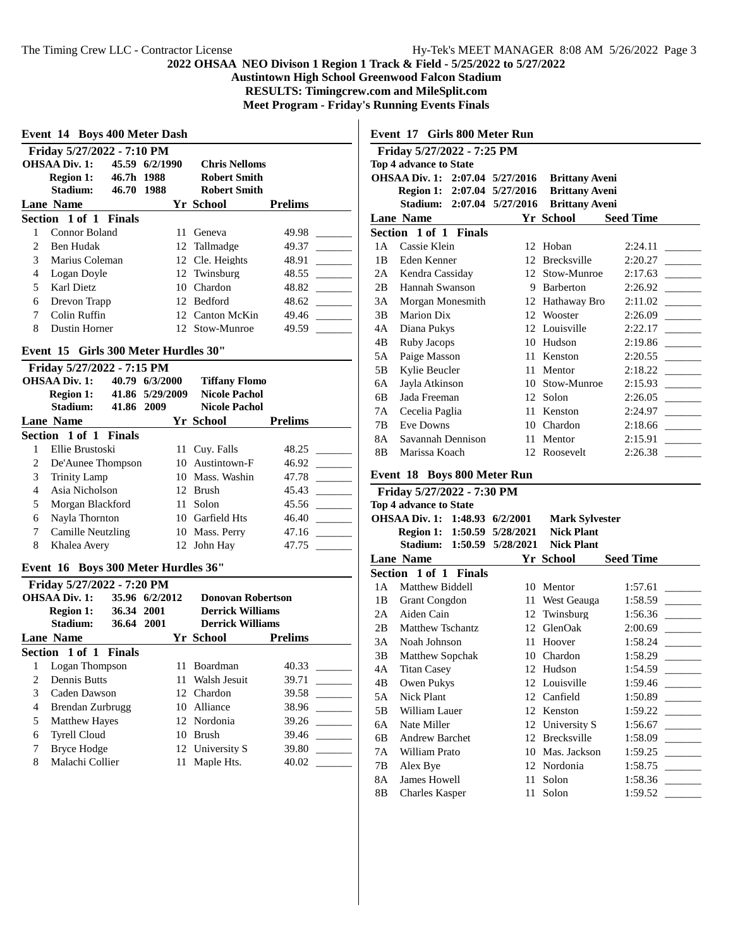**Austintown High School Greenwood Falcon Stadium**

**RESULTS: Timingcrew.com and MileSplit.com**

**Meet Program - Friday's Running Events Finals**

| Event 14 Boys 400 Meter Dash |                                      |            |                 |                                |                                   |
|------------------------------|--------------------------------------|------------|-----------------|--------------------------------|-----------------------------------|
|                              | Friday 5/27/2022 - 7:10 PM           |            |                 |                                |                                   |
|                              | <b>OHSAA Div. 1:</b>                 |            | 45.59 6/2/1990  | <b>Chris Nelloms</b>           |                                   |
|                              | <b>Region 1:</b>                     | 46.7h 1988 |                 | <b>Robert Smith</b>            |                                   |
|                              | Stadium:                             | 46.70 1988 |                 | <b>Robert Smith</b>            |                                   |
|                              | <b>Lane Name</b>                     |            |                 | Yr School                      | <b>Prelims</b>                    |
|                              | Section 1 of 1 Finals                |            |                 |                                |                                   |
| 1                            | <b>Connor Boland</b>                 |            | 11              | Geneva                         | 49.98                             |
| $\overline{2}$               | <b>Ben Hudak</b>                     |            | 12              | Tallmadge                      | 49.37                             |
| 3                            | Marius Coleman                       |            |                 | 12 Cle. Heights                | 48.91                             |
| $\overline{4}$               | Logan Doyle                          |            |                 | 12 Twinsburg                   | 48.55                             |
| 5                            | Karl Dietz                           |            |                 | 10 Chardon                     | 48.82                             |
| 6                            | Drevon Trapp                         |            |                 | 12 Bedford                     | 48.62                             |
| 7                            | Colin Ruffin                         |            |                 | 12 Canton McKin                | 49.46                             |
| 8                            | Dustin Horner                        |            |                 | 12 Stow-Munroe                 | 49.59                             |
|                              |                                      |            |                 |                                |                                   |
|                              | Event 15 Girls 300 Meter Hurdles 30" |            |                 |                                |                                   |
|                              | Friday 5/27/2022 - 7:15 PM           |            |                 |                                |                                   |
|                              | <b>OHSAA Div. 1:</b>                 |            | 40.79 6/3/2000  | <b>Tiffany Flomo</b>           |                                   |
|                              | <b>Region 1:</b>                     |            | 41.86 5/29/2009 | <b>Nicole Pachol</b>           |                                   |
|                              | Stadium:                             | 41.86 2009 |                 | <b>Nicole Pachol</b>           |                                   |
|                              | <b>Lane Name</b>                     |            |                 | Yr School                      | <b>Prelims</b>                    |
|                              | Section 1 of 1 Finals                |            |                 |                                |                                   |
| $\mathbf{1}$                 | Ellie Brustoski                      |            |                 | 11 Cuy. Falls                  | 48.25                             |
| $\overline{c}$               | De'Aunee Thompson                    |            |                 | 10 Austintown-F                | 46.92<br>$\frac{1}{2}$            |
| 3                            | <b>Trinity Lamp</b>                  |            |                 | 10 Mass. Washin                | 47.78<br>$\overline{\phantom{a}}$ |
| $\overline{4}$               | Asia Nicholson                       |            |                 | 12 Brush                       | 45.43                             |
| 5                            | Morgan Blackford                     |            | 11              | Solon                          | 45.56                             |
| 6                            | Nayla Thornton                       |            |                 | 10 Garfield Hts                | 46.40                             |
| $\overline{7}$               | <b>Camille Neutzling</b>             |            |                 | 10 Mass. Perry                 | 47.16                             |
| 8                            | Khalea Avery                         |            | 12              | John Hay                       | 47.75                             |
|                              | Event 16 Boys 300 Meter Hurdles 36"  |            |                 |                                |                                   |
|                              | Friday 5/27/2022 - 7:20 PM           |            |                 |                                |                                   |
|                              | <b>OHSAA Div. 1:</b>                 |            | 35.96 6/2/2012  | <b>Donovan Robertson</b>       |                                   |
|                              | <b>Region 1:</b>                     | 36.34 2001 |                 | <b>Derrick Williams</b>        |                                   |
|                              | Stadium:                             | 36.64 2001 |                 | <b>Derrick Williams</b>        |                                   |
|                              | <b>Lane Name</b>                     |            |                 | Yr School                      | <b>Prelims</b>                    |
|                              | Section 1 of 1 Finals                |            |                 |                                |                                   |
| 1                            | Logan Thompson                       |            | 11-             | Boardman                       | 40.33                             |
| $\overline{c}$               | <b>Dennis Butts</b>                  |            | 11              | Walsh Jesuit                   | 39.71                             |
| 3                            | Caden Dawson                         |            |                 | 12 Chardon                     | 39.58<br><b>Contract Contract</b> |
| $\overline{4}$               | Brendan Zurbrugg                     |            |                 | 10 Alliance                    | 38.96                             |
| 5                            | <b>Matthew Hayes</b>                 |            |                 | 12 Nordonia                    | 39.26                             |
| 6                            | <b>Tyrell Cloud</b>                  |            |                 | 10 Brush                       | 39.46                             |
| $\tau$                       | $R_{\text{EVOA}}$ Hodge              |            |                 | $12.$ University $\mathcal{C}$ | <b>20.90</b>                      |

7 Bryce Hodge 12 University S 39.80 \_\_\_\_\_\_\_\_\_ 8 Malachi Collier 11 Maple Hts.

**Event 17 Girls 800 Meter Run**

|     | Friday 5/27/2022 - 7:25 PM      |    |                       |                  |  |  |
|-----|---------------------------------|----|-----------------------|------------------|--|--|
|     | <b>Top 4 advance to State</b>   |    |                       |                  |  |  |
|     | OHSAA Div. 1: 2:07.04 5/27/2016 |    | <b>Brittany Aveni</b> |                  |  |  |
|     | Region 1: 2:07.04 5/27/2016     |    | <b>Brittany Aveni</b> |                  |  |  |
|     | Stadium: 2:07.04 5/27/2016      |    | <b>Brittany Aveni</b> |                  |  |  |
|     | <b>Lane Name</b>                |    | Yr School             | <b>Seed Time</b> |  |  |
|     | Section 1 of 1 Finals           |    |                       |                  |  |  |
| 1 A | Cassie Klein                    | 12 | Hoban                 | 2:24.11          |  |  |
| 1B  | Eden Kenner                     | 12 | <b>Brecksville</b>    | 2:20.27          |  |  |
| 2A  | Kendra Cassiday                 | 12 | Stow-Munroe           | 2:17.63          |  |  |
| 2B  | Hannah Swanson                  | 9  | <b>Barberton</b>      | 2:26.92          |  |  |
| 3A  | Morgan Monesmith                | 12 | Hathaway Bro          | 2:11.02          |  |  |
| 3B  | <b>Marion Dix</b>               | 12 | Wooster               | 2:26.09          |  |  |
| 4A  | Diana Pukys                     | 12 | Louisville            | 2:22.17          |  |  |
| 4B  | Ruby Jacops                     | 10 | Hudson                | 2:19.86          |  |  |
| 5A  | Paige Masson                    | 11 | Kenston               | 2:20.55          |  |  |
| 5B  | Kylie Beucler                   | 11 | Mentor                | 2:18.22          |  |  |
| 6A  | Jayla Atkinson                  | 10 | Stow-Munroe           | 2:15.93          |  |  |
| 6B  | Jada Freeman                    | 12 | Solon                 | 2:26.05          |  |  |
| 7 A | Cecelia Paglia                  | 11 | Kenston               | 2:24.97          |  |  |
| 7B  | <b>Eve Downs</b>                | 10 | Chardon               | 2:18.66          |  |  |
| 8A  | Savannah Dennison               | 11 | Mentor                | 2:15.91          |  |  |
| 8B  | Marissa Koach                   | 12 | Roosevelt             | 2:26.38          |  |  |
|     |                                 |    |                       |                  |  |  |

#### **Event 18 Boys 800 Meter Run**

| Friday 5/27/2022 - 7:30 PM |                                |                   |                       |                  |  |  |
|----------------------------|--------------------------------|-------------------|-----------------------|------------------|--|--|
|                            | <b>Top 4 advance to State</b>  |                   |                       |                  |  |  |
|                            | OHSAA Div. 1: 1:48.93 6/2/2001 |                   | <b>Mark Sylvester</b> |                  |  |  |
|                            | Region 1: 1:50.59 5/28/2021    |                   | <b>Nick Plant</b>     |                  |  |  |
|                            | Stadium:                       | 1:50.59 5/28/2021 | <b>Nick Plant</b>     |                  |  |  |
|                            | <b>Lane Name</b>               |                   | Yr School             | <b>Seed Time</b> |  |  |
|                            | Section 1 of 1 Finals          |                   |                       |                  |  |  |
| 1 A                        | Matthew Biddell                | 10                | Mentor                | 1:57.61          |  |  |
| 1B                         | <b>Grant Congdon</b>           | 11                | West Geauga           | 1:58.59          |  |  |
| 2A                         | Aiden Cain                     | 12                | Twinsburg             | 1:56.36          |  |  |
| 2B                         | <b>Matthew Tschantz</b>        | 12                | GlenOak               | 2:00.69          |  |  |
| 3A                         | Noah Johnson                   | 11                | Hoover                | 1:58.24          |  |  |
| 3B                         | Matthew Sopchak                | 10                | Chardon               | 1:58.29          |  |  |
| 4A                         | <b>Titan Casey</b>             |                   | 12 Hudson             | 1:54.59          |  |  |
| 4B                         | Owen Pukys                     | 12                | Louisville            | 1:59.46          |  |  |
| 5A                         | Nick Plant                     |                   | 12 Canfield           | 1:50.89          |  |  |
| 5B                         | William Lauer                  | 12                | Kenston               | 1:59.22          |  |  |
| 6A                         | Nate Miller                    | 12                | University S          | 1:56.67          |  |  |
| 6B                         | <b>Andrew Barchet</b>          | 12                | Brecksville           | 1:58.09          |  |  |
| 7A                         | William Prato                  | 10                | Mas. Jackson          | 1:59.25          |  |  |
| 7В                         | Alex Bye                       | 12                | Nordonia              | 1:58.75          |  |  |
| 8A                         | James Howell                   | 11                | Solon                 | 1:58.36          |  |  |
| 8B                         | <b>Charles Kasper</b>          | 11                | Solon                 | 1:59.52          |  |  |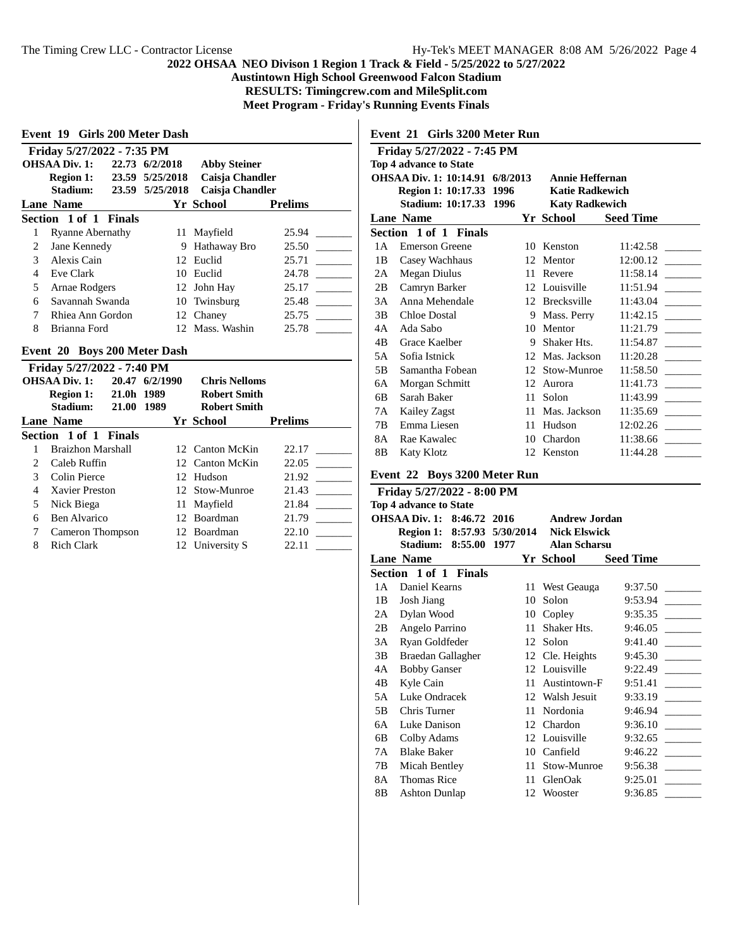**Austintown High School Greenwood Falcon Stadium**

**RESULTS: Timingcrew.com and MileSplit.com**

**Meet Program - Friday's Running Events Finals**

 $\overline{\phantom{a}}$ 

|                              | Friday 5/27/2022 - 7:35 PM    |  |                |                     |                |
|------------------------------|-------------------------------|--|----------------|---------------------|----------------|
|                              | OHSAA Div. 1:                 |  | 22.73 6/2/2018 | <b>Abby Steiner</b> |                |
|                              | Region 1: $23.59$ $5/25/2018$ |  |                | Caisja Chandler     |                |
|                              | Stadium: 23.59 5/25/2018      |  |                | Caisja Chandler     |                |
|                              | Lane Name                     |  |                | Yr School           | <b>Prelims</b> |
|                              | Section 1 of 1 Finals         |  |                |                     |                |
| 1                            | <b>Ryanne Abernathy</b>       |  | 11             | Mayfield            | 25.94          |
| 2                            | Jane Kennedy                  |  |                | 9 Hathaway Bro      | 25.50          |
| 3                            | Alexis Cain                   |  |                | 12 Euclid           | 25.71          |
| 4                            | Eve Clark                     |  | 10             | Euclid              | 24.78          |
| 5                            | Arnae Rodgers                 |  |                | 12 John Hay         | 25.17          |
| 6                            | Savannah Swanda               |  |                | 10 Twinsburg        | 25.48          |
| $\tau$                       | Rhiea Ann Gordon              |  |                | 12 Chanev           | 25.75          |
| 8                            | Brianna Ford                  |  |                | 12 Mass. Washin     | 25.78          |
| Event 20 Boys 200 Meter Dash |                               |  |                |                     |                |

|                        | <b>OHSAA Div. 1:</b><br>21.0h 1989<br><b>Region 1:</b><br>Stadium:<br><b>21.00</b> | 20.47 6/2/1990<br>1989 | <b>Chris Nelloms</b><br><b>Robert Smith</b><br><b>Robert Smith</b> |                |
|------------------------|------------------------------------------------------------------------------------|------------------------|--------------------------------------------------------------------|----------------|
|                        | Lane Name                                                                          |                        | Yr School                                                          | <b>Prelims</b> |
|                        | Section 1 of 1 Finals                                                              |                        |                                                                    |                |
|                        | Braizhon Marshall                                                                  |                        | 12 Canton McKin                                                    | 22.17          |
| $\mathfrak{D}_{\cdot}$ | Caleb Ruffin                                                                       |                        | 12 Canton McKin                                                    | 22.05          |
| 3                      | Colin Pierce                                                                       |                        | 12 Hudson                                                          | 21.92          |
| 4                      | Xavier Preston                                                                     |                        | 12 Stow-Munroe                                                     | 21.43          |
| 5                      | Nick Biega                                                                         |                        | 11 Mayfield                                                        | 21.84          |
| 6                      | <b>Ben Alvarico</b>                                                                |                        | 12 Boardman                                                        | 21.79          |
|                        | Cameron Thompson                                                                   |                        | 12 Boardman                                                        | 22.10          |
| 8                      | <b>Rich Clark</b>                                                                  |                        | 12 University S                                                    | 22.11          |

**Event 21 Girls 3200 Meter Run**

|                                                           | Friday 5/27/2022 - 7:45 PM    |          |    |                        |                  |  |
|-----------------------------------------------------------|-------------------------------|----------|----|------------------------|------------------|--|
| Top 4 advance to State                                    |                               |          |    |                        |                  |  |
|                                                           | <b>OHSAA Div. 1: 10:14.91</b> | 6/8/2013 |    | Annie Heffernan        |                  |  |
|                                                           | Region 1: 10:17.33            | 1996     |    | <b>Katie Radkewich</b> |                  |  |
| <b>Stadium: 10:17.33</b><br>1996<br><b>Katy Radkewich</b> |                               |          |    |                        |                  |  |
|                                                           | <b>Lane Name</b>              |          |    | Yr School              | <b>Seed Time</b> |  |
|                                                           | Section 1 of 1 Finals         |          |    |                        |                  |  |
| 1 A                                                       | Emerson Greene                |          | 10 | Kenston                | 11:42.58         |  |
| 1B                                                        | Casey Wachhaus                |          | 12 | Mentor                 | 12:00.12         |  |
| 2A                                                        | Megan Diulus                  |          | 11 | Revere                 | 11:58.14         |  |
| 2B                                                        | Camryn Barker                 |          |    | 12 Louisville          | 11:51.94         |  |
| 3A                                                        | Anna Mehendale                |          | 12 | Brecksville            | 11:43.04         |  |
| 3B                                                        | Chloe Dostal                  |          | 9  | Mass. Perry            | 11:42.15         |  |
| 4A                                                        | Ada Sabo                      |          | 10 | Mentor                 | 11:21.79         |  |
| 4B                                                        | Grace Kaelber                 |          | 9  | Shaker Hts.            | 11:54.87         |  |
| 5A                                                        | Sofia Istnick                 |          |    | 12 Mas. Jackson        | 11:20.28         |  |
| 5B                                                        | Samantha Fobean               |          | 12 | Stow-Munroe            | 11:58.50         |  |
| 6A                                                        | Morgan Schmitt                |          | 12 | Aurora                 | 11:41.73         |  |
| 6B                                                        | Sarah Baker                   |          | 11 | Solon                  | 11:43.99         |  |
| 7Α                                                        | Kailey Zagst                  |          | 11 | Mas. Jackson           | 11:35.69         |  |
| 7B                                                        | Emma Liesen                   |          | 11 | Hudson                 | 12:02.26         |  |
| 8A                                                        | Rae Kawalec                   |          | 10 | Chardon                | 11:38.66         |  |
| 8B                                                        | <b>Katy Klotz</b>             |          | 12 | Kenston                | 11:44.28         |  |
|                                                           |                               |          |    |                        |                  |  |

# **Event 22 Boys 3200 Meter Run**

| Friday 5/27/2022 - 8:00 PM                         |                                          |    |                     |                  |  |  |  |
|----------------------------------------------------|------------------------------------------|----|---------------------|------------------|--|--|--|
|                                                    | <b>Top 4 advance to State</b>            |    |                     |                  |  |  |  |
| OHSAA Div. 1: 8:46.72 2016<br><b>Andrew Jordan</b> |                                          |    |                     |                  |  |  |  |
|                                                    | Region 1: 8:57.93 5/30/2014 Nick Elswick |    |                     |                  |  |  |  |
|                                                    | Stadium: 8:55.00 1977                    |    | <b>Alan Scharsu</b> |                  |  |  |  |
|                                                    | <b>Lane Name</b>                         |    | Yr School           | <b>Seed Time</b> |  |  |  |
|                                                    | Section 1 of 1 Finals                    |    |                     |                  |  |  |  |
| 1 A                                                | Daniel Kearns                            | 11 | West Geauga         | 9:37.50          |  |  |  |
| 1B                                                 | Josh Jiang                               | 10 | Solon               | 9:53.94          |  |  |  |
| 2A                                                 | Dylan Wood                               | 10 | Copley              | 9:35.35          |  |  |  |
| 2B                                                 | Angelo Parrino                           | 11 | Shaker Hts.         | 9:46.05          |  |  |  |
| 3A                                                 | Ryan Goldfeder                           | 12 | Solon               | 9:41.40          |  |  |  |
| 3B                                                 | Braedan Gallagher                        |    | 12 Cle. Heights     | 9:45.30          |  |  |  |
| 4A                                                 | <b>Bobby Ganser</b>                      |    | 12 Louisville       | 9:22.49          |  |  |  |
| 4B                                                 | Kyle Cain                                | 11 | Austintown-F        | 9:51.41          |  |  |  |
| 5A                                                 | Luke Ondracek                            |    | 12 Walsh Jesuit     | 9:33.19          |  |  |  |
| 5В                                                 | Chris Turner                             | 11 | Nordonia            | 9:46.94          |  |  |  |
| 6A                                                 | Luke Danison                             |    | 12 Chardon          | 9:36.10          |  |  |  |
| 6B                                                 | Colby Adams                              |    | 12 Louisville       | 9:32.65          |  |  |  |
| 7A                                                 | <b>Blake Baker</b>                       | 10 | Canfield            | 9:46.22          |  |  |  |
| 7В                                                 | Micah Bentley                            | 11 | Stow-Munroe         | 9:56.38          |  |  |  |
| 8A                                                 | <b>Thomas Rice</b>                       | 11 | GlenOak             | 9:25.01          |  |  |  |
| 8B                                                 | <b>Ashton Dunlap</b>                     |    | 12 Wooster          | 9:36.85          |  |  |  |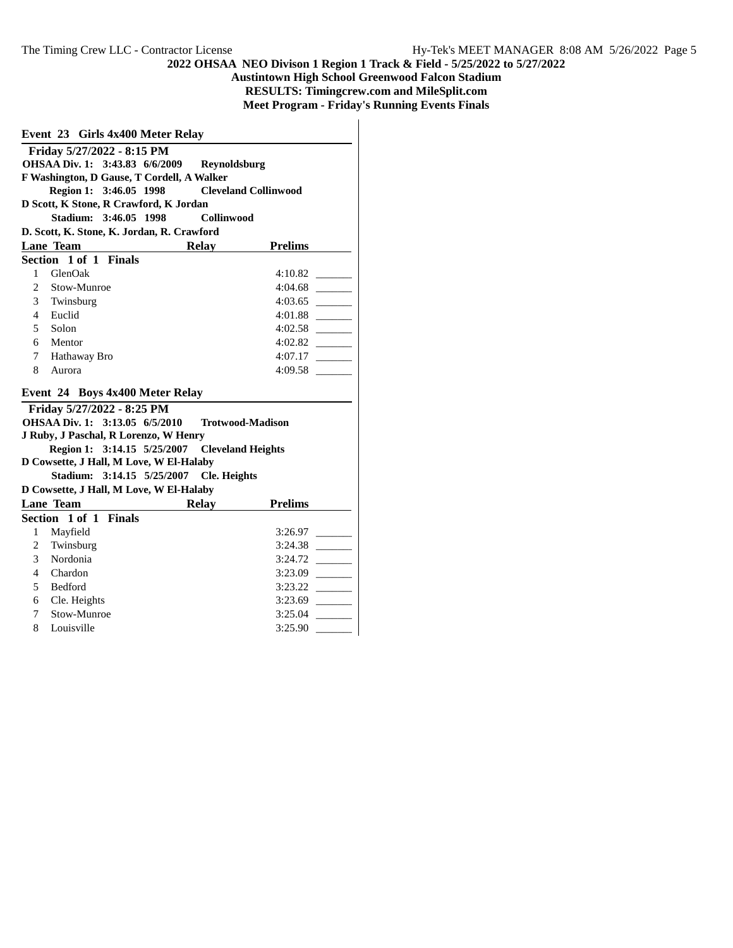**Austintown High School Greenwood Falcon Stadium**

**RESULTS: Timingcrew.com and MileSplit.com**

**Meet Program - Friday's Running Events Finals**

| Event 23 Girls 4x400 Meter Relay |                                                             |                     |                                                                 |
|----------------------------------|-------------------------------------------------------------|---------------------|-----------------------------------------------------------------|
|                                  | Friday 5/27/2022 - 8:15 PM                                  |                     |                                                                 |
|                                  | OHSAA Div. 1: 3:43.83 6/6/2009                              | Reynoldsburg        |                                                                 |
|                                  | F Washington, D Gause, T Cordell, A Walker                  |                     |                                                                 |
|                                  | Region 1: 3:46.05 1998                                      |                     | <b>Cleveland Collinwood</b>                                     |
|                                  | D Scott, K Stone, R Crawford, K Jordan                      |                     |                                                                 |
|                                  | Stadium: 3:46.05 1998                                       | Collinwood          |                                                                 |
|                                  | D. Scott, K. Stone, K. Jordan, R. Crawford                  |                     |                                                                 |
|                                  | <b>Lane Team</b>                                            | <b>Relay</b>        | <b>Prelims</b>                                                  |
|                                  | Section 1 of 1 Finals                                       |                     |                                                                 |
| 1                                | GlenOak                                                     |                     | 4:10.82                                                         |
| $\overline{c}$                   | Stow-Munroe                                                 |                     | 4:04.68                                                         |
| 3                                | Twinsburg                                                   |                     | 4:03.65                                                         |
| 4                                | Euclid                                                      |                     | 4:01.88                                                         |
| 5                                | Solon                                                       |                     | 4:02.58                                                         |
| 6                                | Mentor                                                      |                     | 4:02.82                                                         |
| 7                                | Hathaway Bro                                                |                     | 4:07.17                                                         |
| 8                                | Aurora                                                      |                     | 4:09.58                                                         |
|                                  |                                                             |                     |                                                                 |
|                                  | Event 24 Boys 4x400 Meter Relay                             |                     |                                                                 |
|                                  | Friday 5/27/2022 - 8:25 PM                                  |                     |                                                                 |
|                                  | OHSAA Div. 1: 3:13.05 6/5/2010                              |                     | <b>Trotwood-Madison</b>                                         |
|                                  | J Ruby, J Paschal, R Lorenzo, W Henry                       |                     |                                                                 |
|                                  | Region 1: 3:14.15 5/25/2007                                 |                     | <b>Cleveland Heights</b>                                        |
|                                  | D Cowsette, J Hall, M Love, W El-Halaby                     |                     |                                                                 |
|                                  | Stadium: 3:14.15 5/25/2007                                  | <b>Cle.</b> Heights |                                                                 |
|                                  | D Cowsette, J Hall, M Love, W El-Halaby<br><b>Lane Team</b> |                     |                                                                 |
|                                  | Section 1 of 1 Finals                                       | <b>Relay</b>        | <b>Prelims</b>                                                  |
| 1                                |                                                             |                     | 3:26.97                                                         |
| $\overline{2}$                   | Mayfield<br>Twinsburg                                       |                     | 3:24.38                                                         |
| 3                                | Nordonia                                                    |                     | 3:24.72                                                         |
| 4                                | Chardon                                                     |                     | 3:23.09<br>$\sim$ $\sim$                                        |
| 5                                | <b>Bedford</b>                                              |                     | 3:23.22<br>$\mathcal{L}^{\text{max}}(\mathcal{L}^{\text{max}})$ |
| 6                                | Cle. Heights                                                |                     | 3:23.69<br><b>Contract</b>                                      |
| 7                                | Stow-Munroe                                                 |                     | 3:25.04                                                         |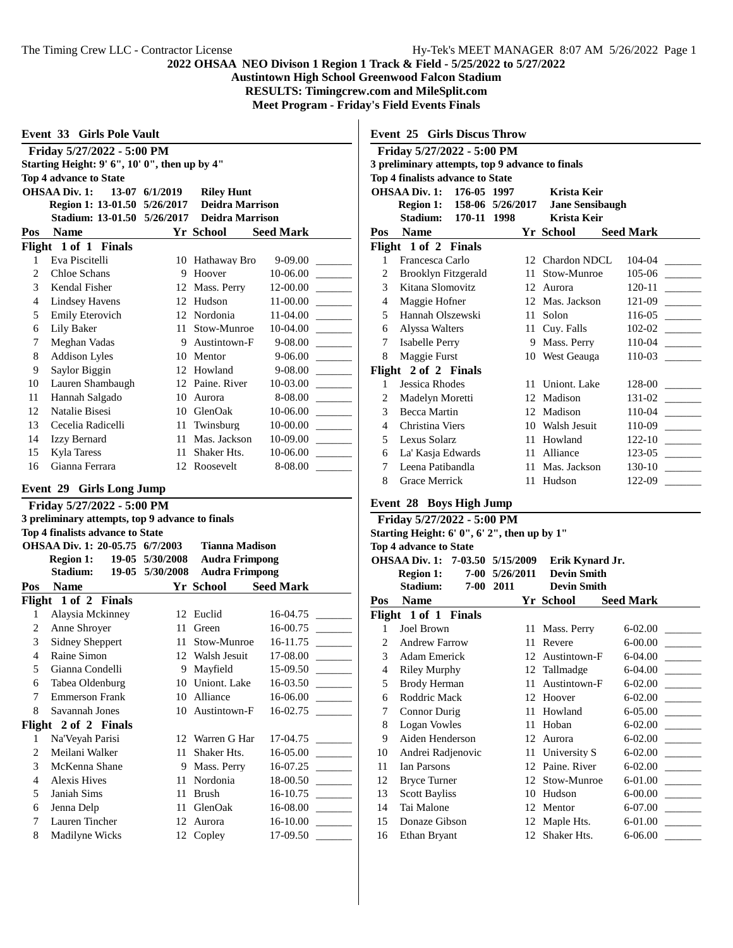**Austintown High School Greenwood Falcon Stadium**

**RESULTS: Timingcrew.com and MileSplit.com**

**Meet Program - Friday's Field Events Finals**

|  | <b>Event 33 Girls Pole Vault</b> |  |
|--|----------------------------------|--|
|--|----------------------------------|--|

| Friday 5/27/2022 - 5:00 PM |                                               |          |                        |                  |  |  |  |
|----------------------------|-----------------------------------------------|----------|------------------------|------------------|--|--|--|
|                            | Starting Height: 9' 6", 10' 0", then up by 4" |          |                        |                  |  |  |  |
|                            | <b>Top 4 advance to State</b>                 |          |                        |                  |  |  |  |
|                            | <b>OHSAA Div. 1:</b><br>13-07                 | 6/1/2019 | <b>Riley Hunt</b>      |                  |  |  |  |
|                            | Region 1: 13-01.50 5/26/2017                  |          | <b>Deidra Marrison</b> |                  |  |  |  |
|                            | Stadium: 13-01.50 5/26/2017                   |          | <b>Deidra Marrison</b> |                  |  |  |  |
| Pos                        | <b>Name</b>                                   |          | Yr School              | <b>Seed Mark</b> |  |  |  |
|                            | Flight 1 of 1 Finals                          |          |                        |                  |  |  |  |
| 1                          | Eva Piscitelli                                | 10       | Hathaway Bro           | 9-09.00          |  |  |  |
| 2                          | Chloe Schans                                  | 9        | Hoover                 | 10-06.00         |  |  |  |
| $\mathfrak{Z}$             | Kendal Fisher                                 | 12       | Mass. Perry            | 12-00.00         |  |  |  |
| 4                          | Lindsey Havens                                | 12       | Hudson                 | 11-00.00         |  |  |  |
| 5                          | Emily Eterovich                               | 12       | Nordonia               | $11-04.00$       |  |  |  |
| 6                          | Lily Baker                                    | 11       | Stow-Munroe            | 10-04.00         |  |  |  |
| 7                          | Meghan Vadas                                  | 9        | Austintown-F           | 9-08.00          |  |  |  |
| 8                          | <b>Addison Lyles</b>                          | 10       | Mentor                 | 9-06.00          |  |  |  |
| 9                          | Saylor Biggin                                 | 12       | Howland                | $9 - 08.00$      |  |  |  |
| 10                         | Lauren Shambaugh                              | 12       | Paine. River           | 10-03.00         |  |  |  |
| 11                         | Hannah Salgado                                | 10       | Aurora                 | 8-08.00          |  |  |  |
| 12                         | Natalie Bisesi                                | 10       | GlenOak                | 10-06.00         |  |  |  |
| 13                         | Cecelia Radicelli                             | 11       | Twinsburg              | 10-00.00         |  |  |  |
| 14                         | <b>Izzy Bernard</b>                           | 11       | Mas. Jackson           | 10-09.00         |  |  |  |
| 15                         | Kyla Taress                                   | 11       | Shaker Hts.            | 10-06.00         |  |  |  |
| 16                         | Gianna Ferrara                                | 12       | Roosevelt              | 8-08.00          |  |  |  |
|                            |                                               |          |                        |                  |  |  |  |

#### **Event 29 Girls Long Jump**

|                | Friday 5/27/2022 - 5:00 PM                      |                 |                       |                  |  |  |
|----------------|-------------------------------------------------|-----------------|-----------------------|------------------|--|--|
|                | 3 preliminary attempts, top 9 advance to finals |                 |                       |                  |  |  |
|                | Top 4 finalists advance to State                |                 |                       |                  |  |  |
|                | OHSAA Div. 1: 20-05.75 6/7/2003                 |                 | Tianna Madison        |                  |  |  |
|                | <b>Region 1:</b>                                | 19-05 5/30/2008 | <b>Audra Frimpong</b> |                  |  |  |
|                | Stadium:                                        | 19-05 5/30/2008 | <b>Audra Frimpong</b> |                  |  |  |
| Pos            | <b>Name</b>                                     |                 | Yr School             | <b>Seed Mark</b> |  |  |
|                | Flight 1 of 2 Finals                            |                 |                       |                  |  |  |
| 1              | Alaysia Mckinney                                | 12              | Euclid                | 16-04.75         |  |  |
| $\overline{2}$ | Anne Shroyer                                    | 11              | Green                 | 16-00.75         |  |  |
| 3              | <b>Sidney Sheppert</b>                          | 11              | Stow-Munroe           | 16-11.75         |  |  |
| 4              | Raine Simon                                     |                 | 12 Walsh Jesuit       | 17-08.00         |  |  |
| 5              | Gianna Condelli                                 | 9               | Mayfield              | 15-09.50         |  |  |
| 6              | Tabea Oldenburg                                 | 10              | Uniont. Lake          | 16-03.50         |  |  |
| 7              | <b>Emmerson Frank</b>                           | 10              | Alliance              | 16-06.00         |  |  |
| 8              | Savannah Jones                                  |                 | 10 Austintown-F       | 16-02.75         |  |  |
|                | Flight 2 of 2 Finals                            |                 |                       |                  |  |  |
| 1              | Na'Veyah Parisi                                 |                 | 12 Warren G Har       | 17-04.75         |  |  |
| 2              | Meilani Walker                                  | 11              | Shaker Hts.           | 16-05.00         |  |  |
| 3              | McKenna Shane                                   | 9               | Mass. Perry           | 16-07.25         |  |  |
| 4              | <b>Alexis Hives</b>                             | 11              | Nordonia              | 18-00.50         |  |  |
| 5              | Janiah Sims                                     | 11              | <b>Brush</b>          | 16-10.75         |  |  |
| 6              | Jenna Delp                                      | 11              | GlenOak               | 16-08.00         |  |  |
| 7              | Lauren Tincher                                  | 12              | Aurora                | 16-10.00         |  |  |
| 8              | Madilyne Wicks                                  | 12              | Copley                | 17-09.50         |  |  |

**Event 25 Girls Discus Throw**

|                                                 | Friday 5/27/2022 - 5:00 PM       |    |                        |                  |  |  |
|-------------------------------------------------|----------------------------------|----|------------------------|------------------|--|--|
| 3 preliminary attempts, top 9 advance to finals |                                  |    |                        |                  |  |  |
|                                                 | Top 4 finalists advance to State |    |                        |                  |  |  |
| OHSAA Div. 1: 176-05 1997<br>Krista Keir        |                                  |    |                        |                  |  |  |
|                                                 | Region 1: 158-06 5/26/2017       |    | <b>Jane Sensibaugh</b> |                  |  |  |
|                                                 | <b>Stadium: 170-11 1998</b>      |    | Krista Keir            |                  |  |  |
| Pos                                             | <b>Name</b>                      |    | Yr School              | <b>Seed Mark</b> |  |  |
|                                                 | Flight 1 of 2 Finals             |    |                        |                  |  |  |
| $\mathbf{1}$                                    | Francesca Carlo                  |    | 12 Chardon NDCL        | 104-04           |  |  |
| 2                                               | Brooklyn Fitzgerald              | 11 | Stow-Munroe            | 105-06           |  |  |
| 3                                               | Kitana Slomovitz                 |    | 12 Aurora              | 120-11           |  |  |
| 4                                               | Maggie Hofner                    |    | 12 Mas. Jackson        | 121-09           |  |  |
| 5                                               | Hannah Olszewski                 | 11 | Solon                  | $116-05$         |  |  |
| 6                                               | Alyssa Walters                   |    | 11 Cuy. Falls          | $102 - 02$       |  |  |
| 7                                               | Isabelle Perry                   |    | 9 Mass. Perry          | $110-04$         |  |  |
| 8                                               | Maggie Furst                     |    | 10 West Geauga         | 110-03           |  |  |
|                                                 | Flight 2 of 2 Finals             |    |                        |                  |  |  |
| $\mathbf{1}$                                    | Jessica Rhodes                   | 11 | Uniont. Lake           | 128-00           |  |  |
| 2                                               | Madelyn Moretti                  |    | 12 Madison             | $131 - 02$       |  |  |
| 3                                               | Becca Martin                     |    | 12 Madison             | 110-04           |  |  |
| $\overline{4}$                                  | Christina Viers                  |    | 10 Walsh Jesuit        | 110-09           |  |  |
| 5                                               | Lexus Solarz                     |    | 11 Howland             | $122 - 10$       |  |  |
| 6                                               | La' Kasja Edwards                |    | 11 Alliance            | 123-05           |  |  |
| 7                                               | Leena Patibandla                 |    | 11 Mas. Jackson        | 130-10           |  |  |
| 8                                               | Grace Merrick                    |    | 11 Hudson              | 122-09           |  |  |
|                                                 |                                  |    |                        |                  |  |  |

| Event 28 Boys High Jump                                      |                            |          |                 |                    |                  |  |  |  |  |  |  |
|--------------------------------------------------------------|----------------------------|----------|-----------------|--------------------|------------------|--|--|--|--|--|--|
|                                                              | Friday 5/27/2022 - 5:00 PM |          |                 |                    |                  |  |  |  |  |  |  |
| Starting Height: 6' 0", 6' 2", then up by 1"                 |                            |          |                 |                    |                  |  |  |  |  |  |  |
| <b>Top 4 advance to State</b>                                |                            |          |                 |                    |                  |  |  |  |  |  |  |
| <b>OHSAA Div. 1:</b><br>7-03.50 5/15/2009<br>Erik Kynard Jr. |                            |          |                 |                    |                  |  |  |  |  |  |  |
|                                                              | <b>Region 1:</b>           | $7 - 00$ | 5/26/2011       | <b>Devin Smith</b> |                  |  |  |  |  |  |  |
|                                                              | Stadium:                   | 7-00     | 2011            | <b>Devin Smith</b> |                  |  |  |  |  |  |  |
| Pos                                                          | <b>Name</b>                |          |                 | Yr School          | <b>Seed Mark</b> |  |  |  |  |  |  |
|                                                              | Flight 1 of 1 Finals       |          |                 |                    |                  |  |  |  |  |  |  |
| 1                                                            | Joel Brown                 |          | 11              | Mass. Perry        | $6-02.00$        |  |  |  |  |  |  |
| $\mathfrak{D}$                                               | <b>Andrew Farrow</b>       |          | 11              | Revere             | $6-00.00$        |  |  |  |  |  |  |
| 3                                                            | Adam Emerick               |          | 12 <sup>1</sup> | Austintown-F       | $6-04.00$        |  |  |  |  |  |  |
| 4                                                            | <b>Riley Murphy</b>        |          |                 | 12 Tallmadge       | $6-04.00$        |  |  |  |  |  |  |
| 5                                                            | Brody Herman               |          | 11              | Austintown-F       | $6 - 02.00$      |  |  |  |  |  |  |
| 6                                                            | Roddric Mack               |          | 12              | Hoover             | $6-02.00$        |  |  |  |  |  |  |
| 7                                                            | <b>Connor Durig</b>        |          | 11              | Howland            | $6-05.00$        |  |  |  |  |  |  |
| 8                                                            | Logan Vowles               |          | 11              | Hoban              | $6-02.00$        |  |  |  |  |  |  |
| 9                                                            | Aiden Henderson            |          | 12              | Aurora             | $6 - 02.00$      |  |  |  |  |  |  |
| 10                                                           | Andrei Radjenovic          |          | 11              | University S       | $6-02.00$        |  |  |  |  |  |  |
| 11                                                           | <b>Ian Parsons</b>         |          | 12              | Paine, River       | $6 - 02.00$      |  |  |  |  |  |  |
| 12                                                           | <b>Bryce Turner</b>        |          | 12              | Stow-Munroe        | $6-01.00$        |  |  |  |  |  |  |
| 13                                                           | <b>Scott Bayliss</b>       |          | 10              | Hudson             | $6 - 00.00$      |  |  |  |  |  |  |
| 14                                                           | Tai Malone                 |          | 12              | Mentor             | $6-07.00$        |  |  |  |  |  |  |
| 15                                                           | Donaze Gibson              |          |                 | 12 Maple Hts.      | 6-01.00          |  |  |  |  |  |  |
| 16                                                           | Ethan Bryant               |          | 12              | Shaker Hts.        | $6 - 06.00$      |  |  |  |  |  |  |
|                                                              |                            |          |                 |                    |                  |  |  |  |  |  |  |